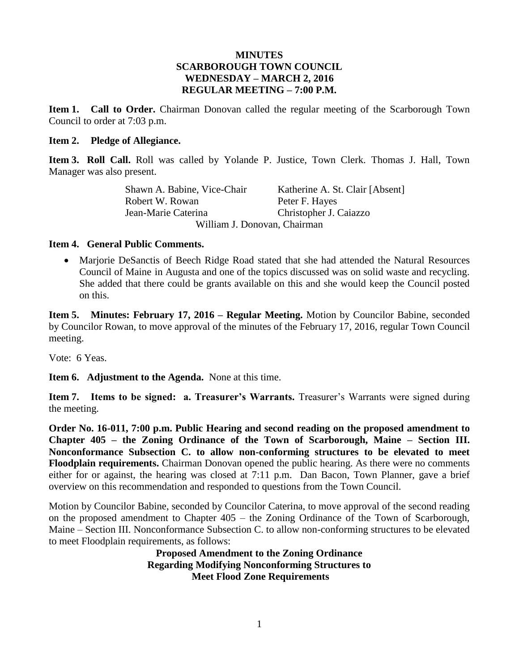#### **MINUTES SCARBOROUGH TOWN COUNCIL WEDNESDAY – MARCH 2, 2016 REGULAR MEETING – 7:00 P.M.**

**Item 1. Call to Order.** Chairman Donovan called the regular meeting of the Scarborough Town Council to order at 7:03 p.m.

#### **Item 2. Pledge of Allegiance.**

**Item 3. Roll Call.** Roll was called by Yolande P. Justice, Town Clerk. Thomas J. Hall, Town Manager was also present.

> Shawn A. Babine, Vice-Chair Katherine A. St. Clair [Absent] Robert W. Rowan Peter F. Hayes Jean-Marie Caterina Christopher J. Caiazzo William J. Donovan, Chairman

#### **Item 4. General Public Comments.**

 Marjorie DeSanctis of Beech Ridge Road stated that she had attended the Natural Resources Council of Maine in Augusta and one of the topics discussed was on solid waste and recycling. She added that there could be grants available on this and she would keep the Council posted on this.

**Item 5. Minutes: February 17, 2016 – Regular Meeting.** Motion by Councilor Babine, seconded by Councilor Rowan, to move approval of the minutes of the February 17, 2016, regular Town Council meeting.

Vote: 6 Yeas.

**Item 6. Adjustment to the Agenda.** None at this time.

**Item 7. Items to be signed: a. Treasurer's Warrants.** Treasurer's Warrants were signed during the meeting.

**Order No. 16-011, 7:00 p.m. Public Hearing and second reading on the proposed amendment to Chapter 405 – the Zoning Ordinance of the Town of Scarborough, Maine – Section III. Nonconformance Subsection C. to allow non-conforming structures to be elevated to meet Floodplain requirements.** Chairman Donovan opened the public hearing. As there were no comments either for or against, the hearing was closed at 7:11 p.m. Dan Bacon, Town Planner, gave a brief overview on this recommendation and responded to questions from the Town Council.

Motion by Councilor Babine, seconded by Councilor Caterina, to move approval of the second reading on the proposed amendment to Chapter 405 – the Zoning Ordinance of the Town of Scarborough, Maine – Section III. Nonconformance Subsection C. to allow non-conforming structures to be elevated to meet Floodplain requirements, as follows:

> **Proposed Amendment to the Zoning Ordinance Regarding Modifying Nonconforming Structures to Meet Flood Zone Requirements**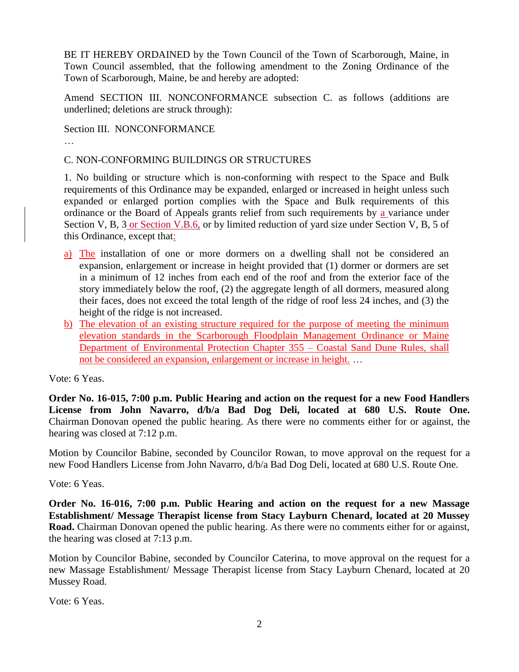BE IT HEREBY ORDAINED by the Town Council of the Town of Scarborough, Maine, in Town Council assembled, that the following amendment to the Zoning Ordinance of the Town of Scarborough, Maine, be and hereby are adopted:

Amend SECTION III. NONCONFORMANCE subsection C. as follows (additions are underlined; deletions are struck through):

Section III. NONCONFORMANCE

#### C. NON-CONFORMING BUILDINGS OR STRUCTURES

1. No building or structure which is non-conforming with respect to the Space and Bulk requirements of this Ordinance may be expanded, enlarged or increased in height unless such expanded or enlarged portion complies with the Space and Bulk requirements of this ordinance or the Board of Appeals grants relief from such requirements by a variance under Section V, B, 3 or Section V.B.6, or by limited reduction of yard size under Section V, B, 5 of this Ordinance, except that:

- a) The installation of one or more dormers on a dwelling shall not be considered an expansion, enlargement or increase in height provided that (1) dormer or dormers are set in a minimum of 12 inches from each end of the roof and from the exterior face of the story immediately below the roof, (2) the aggregate length of all dormers, measured along their faces, does not exceed the total length of the ridge of roof less 24 inches, and (3) the height of the ridge is not increased.
- b) The elevation of an existing structure required for the purpose of meeting the minimum elevation standards in the Scarborough Floodplain Management Ordinance or Maine Department of Environmental Protection Chapter 355 – Coastal Sand Dune Rules, shall not be considered an expansion, enlargement or increase in height. …

Vote: 6 Yeas.

**Order No. 16-015, 7:00 p.m. Public Hearing and action on the request for a new Food Handlers License from John Navarro, d/b/a Bad Dog Deli, located at 680 U.S. Route One.** Chairman Donovan opened the public hearing. As there were no comments either for or against, the hearing was closed at 7:12 p.m.

Motion by Councilor Babine, seconded by Councilor Rowan, to move approval on the request for a new Food Handlers License from John Navarro, d/b/a Bad Dog Deli, located at 680 U.S. Route One.

Vote: 6 Yeas.

**Order No. 16-016, 7:00 p.m. Public Hearing and action on the request for a new Massage Establishment/ Message Therapist license from Stacy Layburn Chenard, located at 20 Mussey Road.** Chairman Donovan opened the public hearing. As there were no comments either for or against, the hearing was closed at 7:13 p.m.

Motion by Councilor Babine, seconded by Councilor Caterina, to move approval on the request for a new Massage Establishment/ Message Therapist license from Stacy Layburn Chenard, located at 20 Mussey Road.

Vote: 6 Yeas.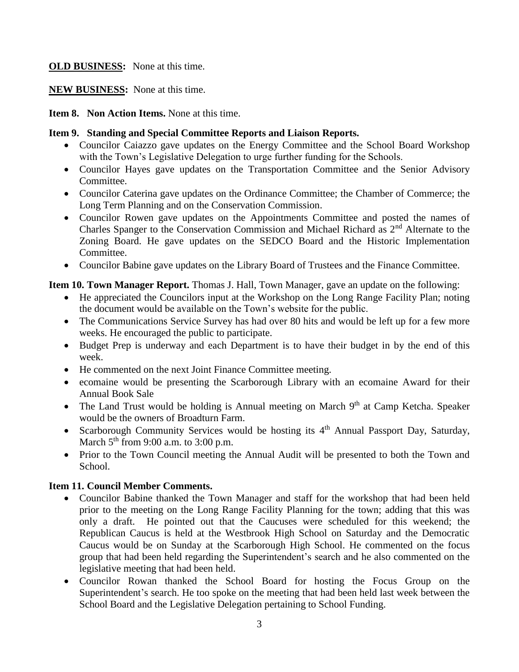# **OLD BUSINESS:** None at this time.

# **NEW BUSINESS:** None at this time.

**Item 8. Non Action Items.** None at this time.

# **Item 9. Standing and Special Committee Reports and Liaison Reports.**

- Councilor Caiazzo gave updates on the Energy Committee and the School Board Workshop with the Town's Legislative Delegation to urge further funding for the Schools.
- Councilor Hayes gave updates on the Transportation Committee and the Senior Advisory Committee.
- Councilor Caterina gave updates on the Ordinance Committee; the Chamber of Commerce; the Long Term Planning and on the Conservation Commission.
- Councilor Rowen gave updates on the Appointments Committee and posted the names of Charles Spanger to the Conservation Commission and Michael Richard as 2<sup>nd</sup> Alternate to the Zoning Board. He gave updates on the SEDCO Board and the Historic Implementation Committee.
- Councilor Babine gave updates on the Library Board of Trustees and the Finance Committee.

# **Item 10. Town Manager Report.** Thomas J. Hall, Town Manager, gave an update on the following:

- He appreciated the Councilors input at the Workshop on the Long Range Facility Plan; noting the document would be available on the Town's website for the public.
- The Communications Service Survey has had over 80 hits and would be left up for a few more weeks. He encouraged the public to participate.
- Budget Prep is underway and each Department is to have their budget in by the end of this week.
- He commented on the next Joint Finance Committee meeting.
- ecomaine would be presenting the Scarborough Library with an ecomaine Award for their Annual Book Sale
- The Land Trust would be holding is Annual meeting on March  $9<sup>th</sup>$  at Camp Ketcha. Speaker would be the owners of Broadturn Farm.
- Scarborough Community Services would be hosting its 4<sup>th</sup> Annual Passport Day, Saturday, March  $5<sup>th</sup>$  from 9:00 a.m. to 3:00 p.m.
- Prior to the Town Council meeting the Annual Audit will be presented to both the Town and School.

# **Item 11. Council Member Comments.**

- Councilor Babine thanked the Town Manager and staff for the workshop that had been held prior to the meeting on the Long Range Facility Planning for the town; adding that this was only a draft. He pointed out that the Caucuses were scheduled for this weekend; the Republican Caucus is held at the Westbrook High School on Saturday and the Democratic Caucus would be on Sunday at the Scarborough High School. He commented on the focus group that had been held regarding the Superintendent's search and he also commented on the legislative meeting that had been held.
- Councilor Rowan thanked the School Board for hosting the Focus Group on the Superintendent's search. He too spoke on the meeting that had been held last week between the School Board and the Legislative Delegation pertaining to School Funding.